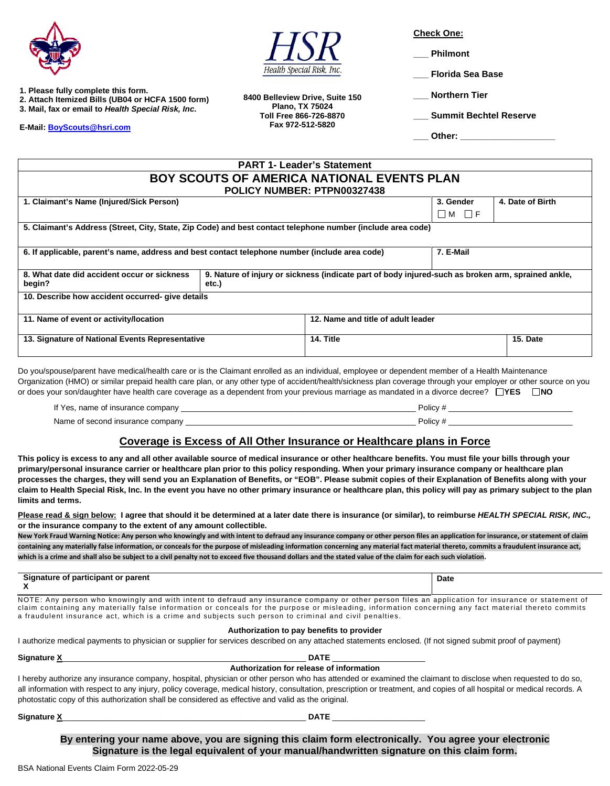



- **2. Attach Itemized Bills (UB04 or HCFA 1500 form)**
- **3. Mail, fax or email to** *Health Special Risk, Inc***.**

**E-Mail: [BoyScouts@hsri.com](mailto:BoyScouts@hsri.com)**



**8400 Belleview Drive, Suite 150 Plano, TX 75024 Toll Free 866-726-8870 Fax 972-512-5820**

**Check One:** 

**\_\_\_ Philmont** 

**\_\_\_ Florida Sea Base** 

**\_\_\_ Northern Tier** 

**\_\_\_ Summit Bechtel Reserve** 

**\_\_\_ Other: \_\_\_\_\_\_\_\_\_\_\_\_\_\_\_\_\_\_\_**

| <b>PART 1- Leader's Statement</b>                                                                           |                                                                                                             |                                    |                   |                  |  |
|-------------------------------------------------------------------------------------------------------------|-------------------------------------------------------------------------------------------------------------|------------------------------------|-------------------|------------------|--|
| <b>BOY SCOUTS OF AMERICA NATIONAL EVENTS PLAN</b>                                                           |                                                                                                             |                                    |                   |                  |  |
| POLICY NUMBER: PTPN00327438                                                                                 |                                                                                                             |                                    |                   |                  |  |
| 1. Claimant's Name (Injured/Sick Person)                                                                    |                                                                                                             |                                    | 3. Gender         | 4. Date of Birth |  |
|                                                                                                             |                                                                                                             |                                    | $\Box$ M $\Box$ f |                  |  |
| 5. Claimant's Address (Street, City, State, Zip Code) and best contact telephone number (include area code) |                                                                                                             |                                    |                   |                  |  |
|                                                                                                             |                                                                                                             |                                    |                   |                  |  |
| 6. If applicable, parent's name, address and best contact telephone number (include area code)              |                                                                                                             |                                    | 7. E-Mail         |                  |  |
|                                                                                                             |                                                                                                             |                                    |                   |                  |  |
| 8. What date did accident occur or sickness<br>begin?                                                       | 9. Nature of injury or sickness (indicate part of body injured-such as broken arm, sprained ankle,<br>etc.) |                                    |                   |                  |  |
| 10. Describe how accident occurred- give details                                                            |                                                                                                             |                                    |                   |                  |  |
|                                                                                                             |                                                                                                             |                                    |                   |                  |  |
| 11. Name of event or activity/location                                                                      |                                                                                                             | 12. Name and title of adult leader |                   |                  |  |
| 13. Signature of National Events Representative                                                             |                                                                                                             | 14. Title                          |                   | 15. Date         |  |
|                                                                                                             |                                                                                                             |                                    |                   |                  |  |

Do you/spouse/parent have medical/health care or is the Claimant enrolled as an individual, employee or dependent member of a Health Maintenance Organization (HMO) or similar prepaid health care plan, or any other type of accident/health/sickness plan coverage through your employer or other source on you or does your son/daughter have health care coverage as a dependent from your previous marriage as mandated in a divorce decree? □YES □NO

If Yes, name of insurance company example of the state of the state of the state of the state of the state of the state of the state of the state of the state of the state of the state of the state of the state of the stat Name of second insurance company \_\_\_\_\_\_\_\_\_\_\_\_\_\_\_\_\_\_\_\_\_\_\_\_\_\_\_\_\_\_\_\_\_\_\_\_\_\_\_\_\_\_\_\_\_\_\_\_\_\_\_\_ Policy # \_\_\_\_\_\_\_\_\_\_\_\_\_\_\_\_\_\_\_\_\_\_\_\_\_\_\_\_

## **Coverage is Excess of All Other Insurance or Healthcare plans in Force**

**This policy is excess to any and all other available source of medical insurance or other healthcare benefits. You must file your bills through your primary/personal insurance carrier or healthcare plan prior to this policy responding. When your primary insurance company or healthcare plan processes the charges, they will send you an Explanation of Benefits, or "EOB". Please submit copies of their Explanation of Benefits along with your claim to Health Special Risk, Inc. In the event you have no other primary insurance or healthcare plan, this policy will pay as primary subject to the plan limits and terms.** 

Please read & sign below: I agree that should it be determined at a later date there is insurance (or similar), to reimburse *HEALTH SPECIAL RISK, INC.*, **or the insurance company to the extent of any amount collectible.** 

**New York Fraud Warning Notice: Any person who knowingly and with intent to defraud any insurance company or other person files an application for insurance, or statement of claim containing any materially false information, or conceals for the purpose of misleading information concerning any material fact material thereto, commits a fraudulent insurance act, which is a crime and shall also be subject to a civil penalty not to exceed five thousand dollars and the stated value of the claim for each such violation.** 

| * parent                    | Date |
|-----------------------------|------|
| Signature of participant or |      |
|                             |      |

NOTE: Any person who knowingly and with intent to defraud any insurance company or other person files an application for insurance or statement of claim containing any materially false information or conceals for the purpose or misleading, information concerning any fact material thereto commits a fraudulent insurance act, which is a crime and subjects such person to criminal and civil penalties.

#### **Authorization to pay benefits to provider**

I authorize medical payments to physician or supplier for services described on any attached statements enclosed. (If not signed submit proof of payment)

| <b>Signature X</b>                                                                                 | <b>DATE</b>                                                                                                                                                                                                                                                                                                                             |  |
|----------------------------------------------------------------------------------------------------|-----------------------------------------------------------------------------------------------------------------------------------------------------------------------------------------------------------------------------------------------------------------------------------------------------------------------------------------|--|
|                                                                                                    | Authorization for release of information                                                                                                                                                                                                                                                                                                |  |
| photostatic copy of this authorization shall be considered as effective and valid as the original. | I hereby authorize any insurance company, hospital, physician or other person who has attended or examined the claimant to disclose when requested to do so,<br>all information with respect to any injury, policy coverage, medical history, consultation, prescription or treatment, and copies of all hospital or medical records. A |  |
| <b>Signature X</b>                                                                                 | <b>DATE</b>                                                                                                                                                                                                                                                                                                                             |  |

**By entering your name above, you are signing this claim form electronically. You agree your electronic Signature is the legal equivalent of your manual/handwritten signature on this claim form.**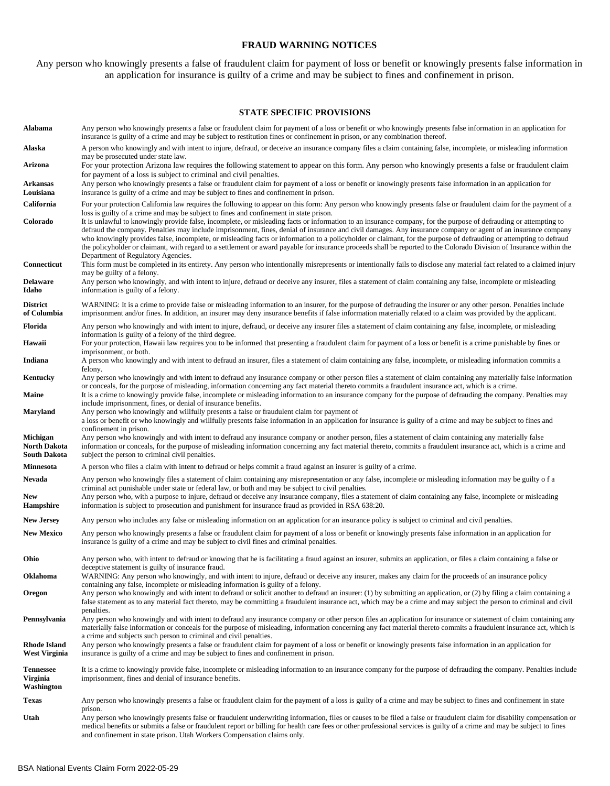### **FRAUD WARNING NOTICES**

Any person who knowingly presents a false of fraudulent claim for payment of loss or benefit or knowingly presents false information in an application for insurance is guilty of a crime and may be subject to fines and confinement in prison.

#### **STATE SPECIFIC PROVISIONS**

| Alabama                                    | Any person who knowingly presents a false or fraudulent claim for payment of a loss or benefit or who knowingly presents false information in an application for<br>insurance is guilty of a crime and may be subject to restitution fines or confinement in prison, or any combination thereof.                                                                                                                                                                                                                                                                                                                                                                                                                                                                                                                 |
|--------------------------------------------|------------------------------------------------------------------------------------------------------------------------------------------------------------------------------------------------------------------------------------------------------------------------------------------------------------------------------------------------------------------------------------------------------------------------------------------------------------------------------------------------------------------------------------------------------------------------------------------------------------------------------------------------------------------------------------------------------------------------------------------------------------------------------------------------------------------|
| Alaska                                     | A person who knowingly and with intent to injure, defraud, or deceive an insurance company files a claim containing false, incomplete, or misleading information<br>may be prosecuted under state law.                                                                                                                                                                                                                                                                                                                                                                                                                                                                                                                                                                                                           |
| Arizona                                    | For your protection Arizona law requires the following statement to appear on this form. Any person who knowingly presents a false or fraudulent claim<br>for payment of a loss is subject to criminal and civil penalties.                                                                                                                                                                                                                                                                                                                                                                                                                                                                                                                                                                                      |
| Arkansas<br>Louisiana                      | Any person who knowingly presents a false or fraudulent claim for payment of a loss or benefit or knowingly presents false information in an application for<br>insurance is guilty of a crime and may be subject to fines and confinement in prison.                                                                                                                                                                                                                                                                                                                                                                                                                                                                                                                                                            |
| California                                 | For your protection California law requires the following to appear on this form: Any person who knowingly presents false or fraudulent claim for the payment of a                                                                                                                                                                                                                                                                                                                                                                                                                                                                                                                                                                                                                                               |
| Colorado                                   | loss is guilty of a crime and may be subject to fines and confinement in state prison.<br>It is unlawful to knowingly provide false, incomplete, or misleading facts or information to an insurance company, for the purpose of defrauding or attempting to<br>defraud the company. Penalties may include imprisonment, fines, denial of insurance and civil damages. Any insurance company or agent of an insurance company<br>who knowingly provides false, incomplete, or misleading facts or information to a policyholder or claimant, for the purpose of defrauding or attempting to defraud<br>the policyholder or claimant, with regard to a settlement or award payable for insurance proceeds shall be reported to the Colorado Division of Insurance within the<br>Department of Regulatory Agencies. |
| Connecticut                                | This form must be completed in its entirety. Any person who intentionally misrepresents or intentionally fails to disclose any material fact related to a claimed injury<br>may be guilty of a felony.                                                                                                                                                                                                                                                                                                                                                                                                                                                                                                                                                                                                           |
| Delaware<br>Idaho                          | Any person who knowingly, and with intent to injure, defraud or deceive any insurer, files a statement of claim containing any false, incomplete or misleading<br>information is guilty of a felony.                                                                                                                                                                                                                                                                                                                                                                                                                                                                                                                                                                                                             |
| <b>District</b><br>of Columbia             | WARNING: It is a crime to provide false or misleading information to an insurer, for the purpose of defrauding the insurer or any other person. Penalties include<br>imprisonment and/or fines. In addition, an insurer may deny insurance benefits if false information materially related to a claim was provided by the applicant.                                                                                                                                                                                                                                                                                                                                                                                                                                                                            |
| Florida                                    | Any person who knowingly and with intent to injure, defraud, or deceive any insurer files a statement of claim containing any false, incomplete, or misleading<br>information is guilty of a felony of the third degree.                                                                                                                                                                                                                                                                                                                                                                                                                                                                                                                                                                                         |
| Hawaii                                     | For your protection, Hawaii law requires you to be informed that presenting a fraudulent claim for payment of a loss or benefit is a crime punishable by fines or<br>imprisonment, or both.                                                                                                                                                                                                                                                                                                                                                                                                                                                                                                                                                                                                                      |
| Indiana                                    | A person who knowingly and with intent to defraud an insurer, files a statement of claim containing any false, incomplete, or misleading information commits a<br>felony.                                                                                                                                                                                                                                                                                                                                                                                                                                                                                                                                                                                                                                        |
| Kentucky                                   | Any person who knowingly and with intent to defraud any insurance company or other person files a statement of claim containing any materially false information<br>or conceals, for the purpose of misleading, information concerning any fact material thereto commits a fraudulent insurance act, which is a crime.                                                                                                                                                                                                                                                                                                                                                                                                                                                                                           |
| <b>Maine</b>                               | It is a crime to knowingly provide false, incomplete or misleading information to an insurance company for the purpose of defrauding the company. Penalties may<br>include imprisonment, fines, or denial of insurance benefits.                                                                                                                                                                                                                                                                                                                                                                                                                                                                                                                                                                                 |
| Maryland                                   | Any person who knowingly and willfully presents a false or fraudulent claim for payment of<br>a loss or benefit or who knowingly and willfully presents false information in an application for insurance is guilty of a crime and may be subject to fines and<br>confinement in prison.                                                                                                                                                                                                                                                                                                                                                                                                                                                                                                                         |
| Michigan<br>North Dakota<br>South Dakota   | Any person who knowingly and with intent to defraud any insurance company or another person, files a statement of claim containing any materially false<br>information or conceals, for the purpose of misleading information concerning any fact material thereto, commits a fraudulent insurance act, which is a crime and<br>subject the person to criminal civil penalties.                                                                                                                                                                                                                                                                                                                                                                                                                                  |
| Minnesota                                  | A person who files a claim with intent to defraud or helps commit a fraud against an insurer is guilty of a crime.                                                                                                                                                                                                                                                                                                                                                                                                                                                                                                                                                                                                                                                                                               |
| Nevada<br>New                              | Any person who knowingly files a statement of claim containing any misrepresentation or any false, incomplete or misleading information may be guilty of a<br>criminal act punishable under state or federal law, or both and may be subject to civil penalties.<br>Any person who, with a purpose to injure, defraud or deceive any insurance company, files a statement of claim containing any false, incomplete or misleading                                                                                                                                                                                                                                                                                                                                                                                |
| Hampshire                                  | information is subject to prosecution and punishment for insurance fraud as provided in RSA 638:20.                                                                                                                                                                                                                                                                                                                                                                                                                                                                                                                                                                                                                                                                                                              |
| <b>New Jersey</b>                          | Any person who includes any false or misleading information on an application for an insurance policy is subject to criminal and civil penalties.                                                                                                                                                                                                                                                                                                                                                                                                                                                                                                                                                                                                                                                                |
| <b>New Mexico</b>                          | Any person who knowingly presents a false or fraudulent claim for payment of a loss or benefit or knowingly presents false information in an application for<br>insurance is guilty of a crime and may be subject to civil fines and criminal penalties.                                                                                                                                                                                                                                                                                                                                                                                                                                                                                                                                                         |
| Ohio                                       | Any person who, with intent to defraud or knowing that he is facilitating a fraud against an insurer, submits an application, or files a claim containing a false or<br>deceptive statement is guilty of insurance fraud.                                                                                                                                                                                                                                                                                                                                                                                                                                                                                                                                                                                        |
| Oklahoma                                   | WARNING: Any person who knowingly, and with intent to injure, defraud or deceive any insurer, makes any claim for the proceeds of an insurance policy<br>containing any false, incomplete or misleading information is guilty of a felony.                                                                                                                                                                                                                                                                                                                                                                                                                                                                                                                                                                       |
| Oregon                                     | Any person who knowingly and with intent to defraud or solicit another to defraud an insurer: (1) by submitting an application, or (2) by filing a claim containing a<br>false statement as to any material fact thereto, may be committing a fraudulent insurance act, which may be a crime and may subject the person to criminal and civil                                                                                                                                                                                                                                                                                                                                                                                                                                                                    |
| Pennsylvania                               | penalties.<br>Any person who knowingly and with intent to defraud any insurance company or other person files an application for insurance or statement of claim containing any<br>materially false information or conceals for the purpose of misleading, information concerning any fact material thereto commits a fraudulent insurance act, which is<br>a crime and subjects such person to criminal and civil penalties.                                                                                                                                                                                                                                                                                                                                                                                    |
| <b>Rhode Island</b><br>West Virginia       | Any person who knowingly presents a false or fraudulent claim for payment of a loss or benefit or knowingly presents false information in an application for<br>insurance is guilty of a crime and may be subject to fines and confinement in prison.                                                                                                                                                                                                                                                                                                                                                                                                                                                                                                                                                            |
| <b>Tennessee</b><br>Virginia<br>Washington | It is a crime to knowingly provide false, incomplete or misleading information to an insurance company for the purpose of defrauding the company. Penalties include<br>imprisonment, fines and denial of insurance benefits.                                                                                                                                                                                                                                                                                                                                                                                                                                                                                                                                                                                     |
| Texas                                      | Any person who knowingly presents a false or fraudulent claim for the payment of a loss is guilty of a crime and may be subject to fines and confinement in state                                                                                                                                                                                                                                                                                                                                                                                                                                                                                                                                                                                                                                                |
| Utah                                       | prison.<br>Any person who knowingly presents false or fraudulent underwriting information, files or causes to be filed a false or fraudulent claim for disability compensation or<br>medical benefits or submits a false or fraudulent report or billing for health care fees or other professional services is guilty of a crime and may be subject to fines<br>and confinement in state prison. Utah Workers Compensation claims only.                                                                                                                                                                                                                                                                                                                                                                         |